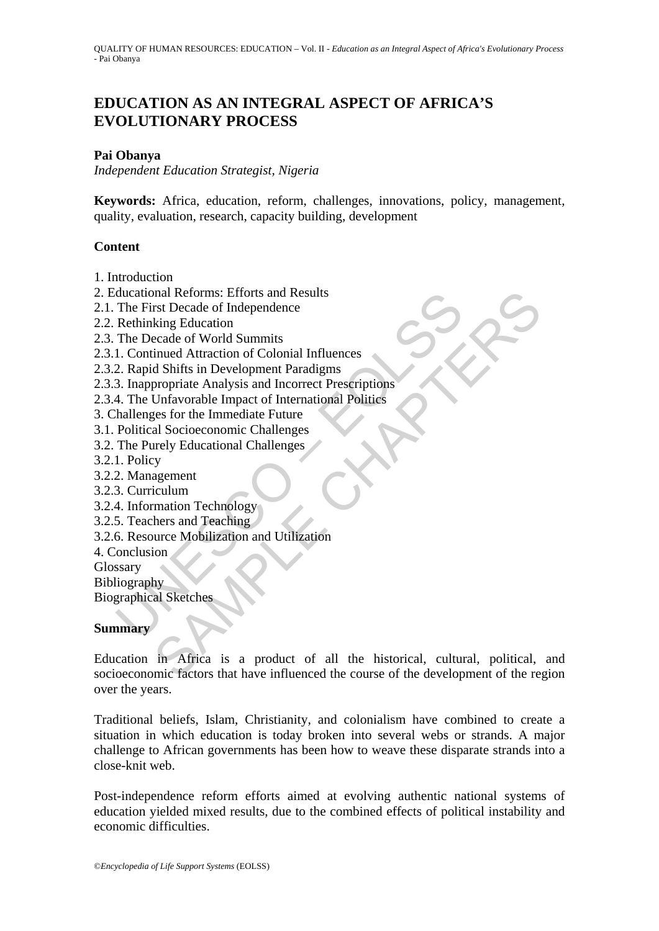# **EDUCATION AS AN INTEGRAL ASPECT OF AFRICA'S EVOLUTIONARY PROCESS**

### **Pai Obanya**

*Independent Education Strategist, Nigeria* 

**Keywords:** Africa, education, reform, challenges, innovations, policy, management, quality, evaluation, research, capacity building, development

#### **Content**

- 1. Introduction
- 2. Educational Reforms: Efforts and Results
- 2.1. The First Decade of Independence
- 2.2. Rethinking Education
- 2.3. The Decade of World Summits
- 2.3.1. Continued Attraction of Colonial Influences
- 2.3.2. Rapid Shifts in Development Paradigms
- ducational Reforms: Efforts and Results<br>
The First Decade of Independence<br>
Rethinking Education<br>
The Decade of World Summits<br>
1. Continued Attraction of Colonial Influences<br>
2. Rapid Shifts in Development Paradigms<br>
3. Ina 2.3.3. Inappropriate Analysis and Incorrect Prescriptions
- 2.3.4. The Unfavorable Impact of International Politics
- 3. Challenges for the Immediate Future
- 3.1. Political Socioeconomic Challenges
- 3.2. The Purely Educational Challenges
- 3.2.1. Policy
- 3.2.2. Management
- 3.2.3. Curriculum
- 3.2.4. Information Technology
- 3.2.5. Teachers and Teaching
- 3.2.6. Resource Mobilization and Utilization
- 4. Conclusion

Glossary

**Bibliography** 

Biographical Sketches

#### **Summary**

mal Reforms: Efforts and Results<br>
stri Decade of Independence<br>
king Education<br>
ecade of World Summits<br>
simued Attraction of Colonial Influences<br>
strip propriate Analysis and Incorrect Prescriptions<br>
Unfavorable Impact of I Education in Africa is a product of all the historical, cultural, political, and socioeconomic factors that have influenced the course of the development of the region over the years.

Traditional beliefs, Islam, Christianity, and colonialism have combined to create a situation in which education is today broken into several webs or strands. A major challenge to African governments has been how to weave these disparate strands into a close-knit web.

Post-independence reform efforts aimed at evolving authentic national systems of education yielded mixed results, due to the combined effects of political instability and economic difficulties.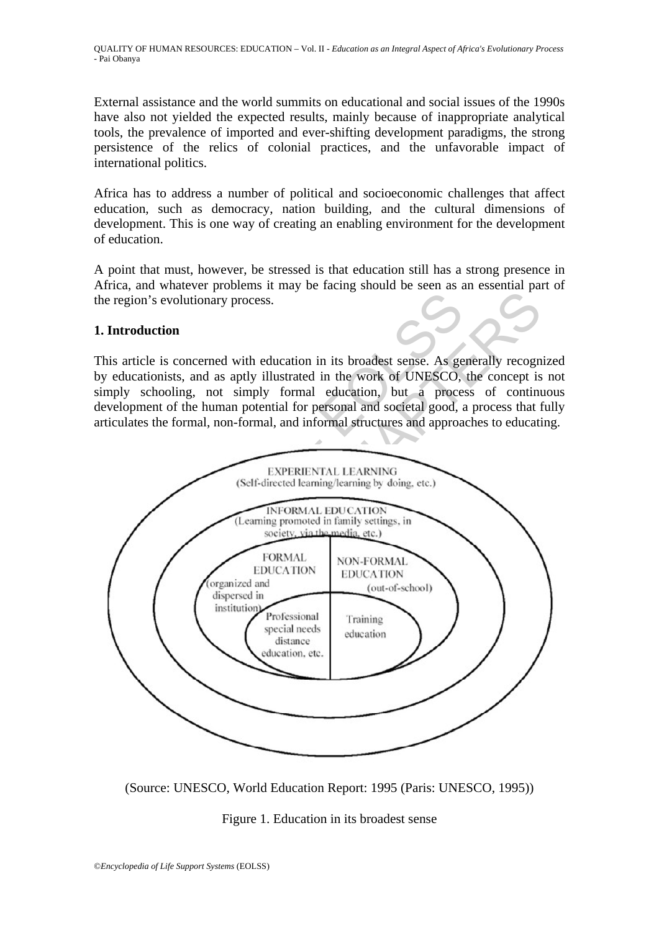External assistance and the world summits on educational and social issues of the 1990s have also not yielded the expected results, mainly because of inappropriate analytical tools, the prevalence of imported and ever-shifting development paradigms, the strong persistence of the relics of colonial practices, and the unfavorable impact of international politics.

Africa has to address a number of political and socioeconomic challenges that affect education, such as democracy, nation building, and the cultural dimensions of development. This is one way of creating an enabling environment for the development of education.

A point that must, however, be stressed is that education still has a strong presence in Africa, and whatever problems it may be facing should be seen as an essential part of the region's evolutionary process.

#### **1. Introduction**

This article is concerned with education in its broadest sense. As generally recognized by educationists, and as aptly illustrated in the work of UNESCO, the concept is not simply schooling, not simply formal education, but a process of continuous development of the human potential for personal and societal good, a process that fully articulates the formal, non-formal, and informal structures and approaches to educating.



(Source: UNESCO, World Education Report: 1995 (Paris: UNESCO, 1995))

Figure 1. Education in its broadest sense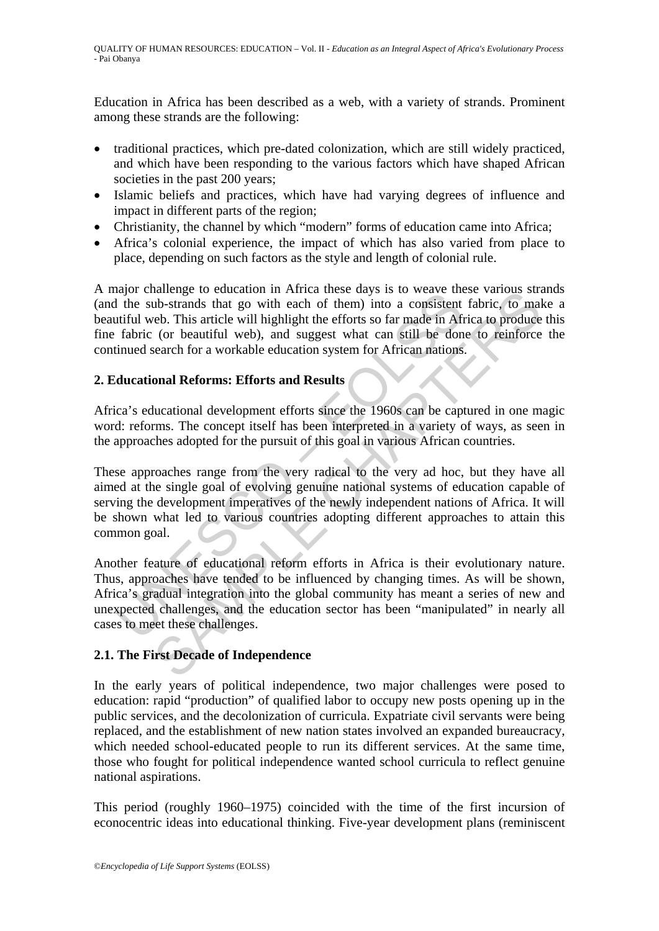Education in Africa has been described as a web, with a variety of strands. Prominent among these strands are the following:

- traditional practices, which pre-dated colonization, which are still widely practiced, and which have been responding to the various factors which have shaped African societies in the past 200 years;
- Islamic beliefs and practices, which have had varying degrees of influence and impact in different parts of the region;
- Christianity, the channel by which "modern" forms of education came into Africa;
- Africa's colonial experience, the impact of which has also varied from place to place, depending on such factors as the style and length of colonial rule.

A major challenge to education in Africa these days is to weave these various strands (and the sub-strands that go with each of them) into a consistent fabric, to make a beautiful web. This article will highlight the efforts so far made in Africa to produce this fine fabric (or beautiful web), and suggest what can still be done to reinforce the continued search for a workable education system for African nations.

### **2. Educational Reforms: Efforts and Results**

Africa's educational development efforts since the 1960s can be captured in one magic word: reforms. The concept itself has been interpreted in a variety of ways, as seen in the approaches adopted for the pursuit of this goal in various African countries.

may channels to contain in Artica insects days is to weave the distantion in Artica in the sub-strands that go with each of them) into a consistent utiful web. This article will highlight the efforts so far made in African analizing to equation in Artica lines take tays is to weave these valous stits.<br>the-strands that go with each of them) into a consistent fabric, to male<br>be. This article will highlight the efforts so far made in Africa to These approaches range from the very radical to the very ad hoc, but they have all aimed at the single goal of evolving genuine national systems of education capable of serving the development imperatives of the newly independent nations of Africa. It will be shown what led to various countries adopting different approaches to attain this common goal.

Another feature of educational reform efforts in Africa is their evolutionary nature. Thus, approaches have tended to be influenced by changing times. As will be shown, Africa's gradual integration into the global community has meant a series of new and unexpected challenges, and the education sector has been "manipulated" in nearly all cases to meet these challenges.

## **2.1. The First Decade of Independence**

In the early years of political independence, two major challenges were posed to education: rapid "production" of qualified labor to occupy new posts opening up in the public services, and the decolonization of curricula. Expatriate civil servants were being replaced, and the establishment of new nation states involved an expanded bureaucracy, which needed school-educated people to run its different services. At the same time, those who fought for political independence wanted school curricula to reflect genuine national aspirations.

This period (roughly 1960–1975) coincided with the time of the first incursion of econocentric ideas into educational thinking. Five-year development plans (reminiscent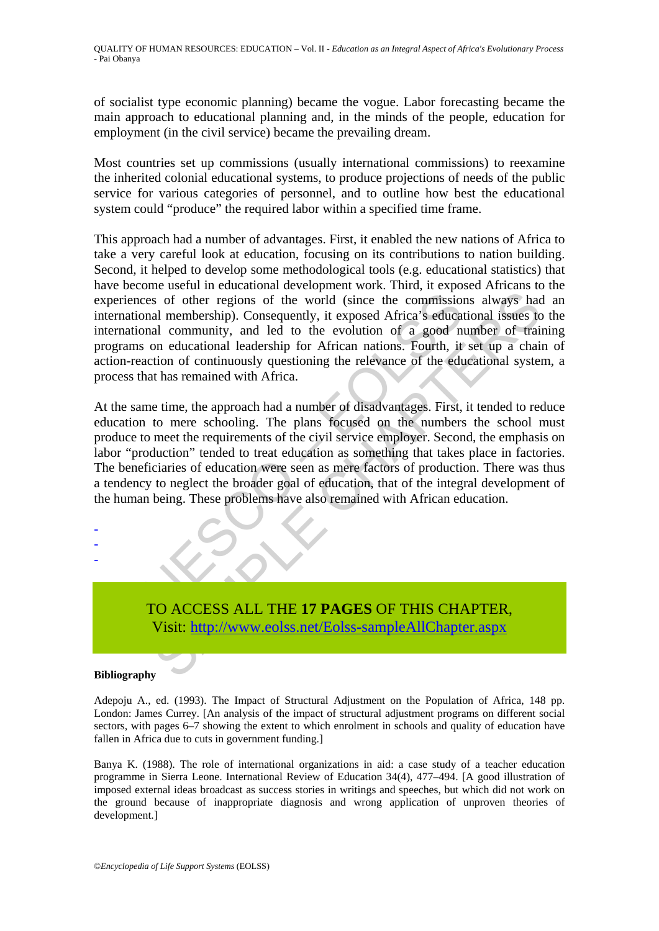of socialist type economic planning) became the vogue. Labor forecasting became the main approach to educational planning and, in the minds of the people, education for employment (in the civil service) became the prevailing dream.

Most countries set up commissions (usually international commissions) to reexamine the inherited colonial educational systems, to produce projections of needs of the public service for various categories of personnel, and to outline how best the educational system could "produce" the required labor within a specified time frame.

This approach had a number of advantages. First, it enabled the new nations of Africa to take a very careful look at education, focusing on its contributions to nation building. Second, it helped to develop some methodological tools (e.g. educational statistics) that have become useful in educational development work. Third, it exposed Africans to the experiences of other regions of the world (since the commissions always had an international membership). Consequently, it exposed Africa's educational issues to the international community, and led to the evolution of a good number of training programs on educational leadership for African nations. Fourth, it set up a chain of action-reaction of continuously questioning the relevance of the educational system, a process that has remained with Africa.

experiences of other regions of the world (since the commission<br>trational membership). Consequently, it exposed Africa's educational community, and led to the evolution of a good nu<br>prams on educational leadership for Afri s of other regions of the world (since the commissions always had membership). Consequently, it exposed Africa's educational issues to all community, and led to the evolution of a good number of train or ducational leaders At the same time, the approach had a number of disadvantages. First, it tended to reduce education to mere schooling. The plans focused on the numbers the school must produce to meet the requirements of the civil service employer. Second, the emphasis on labor "production" tended to treat education as something that takes place in factories. The beneficiaries of education were seen as mere factors of production. There was thus a tendency to neglect the broader goal of education, that of the integral development of the human being. These problems have also remained with African education.



#### **Bibliography**

- - -

Adepoju A., ed. (1993). The Impact of Structural Adjustment on the Population of Africa, 148 pp. London: James Currey. [An analysis of the impact of structural adjustment programs on different social sectors, with pages 6–7 showing the extent to which enrolment in schools and quality of education have fallen in Africa due to cuts in government funding.]

Banya K. (1988). The role of international organizations in aid: a case study of a teacher education programme in Sierra Leone. International Review of Education 34(4), 477–494. [A good illustration of imposed external ideas broadcast as success stories in writings and speeches, but which did not work on the ground because of inappropriate diagnosis and wrong application of unproven theories of development.]